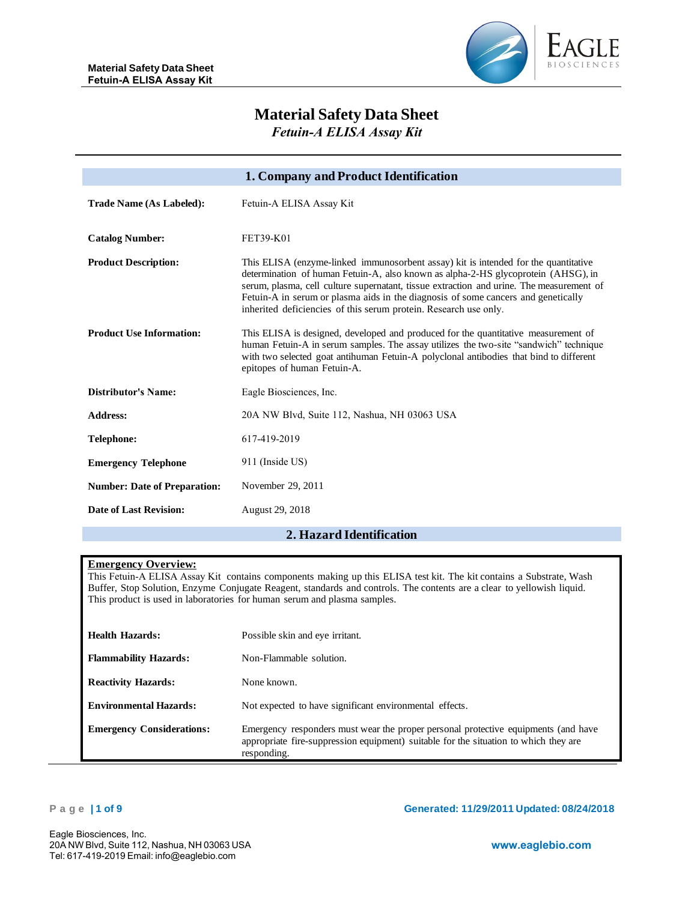

# **Material Safety Data Sheet**

*Fetuin-A ELISA Assay Kit*

|                                     | 1. Company and Product Identification                                                                                                                                                                                                                                                                                                                                                                                         |
|-------------------------------------|-------------------------------------------------------------------------------------------------------------------------------------------------------------------------------------------------------------------------------------------------------------------------------------------------------------------------------------------------------------------------------------------------------------------------------|
| <b>Trade Name (As Labeled):</b>     | Fetuin-A ELISA Assay Kit                                                                                                                                                                                                                                                                                                                                                                                                      |
| <b>Catalog Number:</b>              | FET39-K01                                                                                                                                                                                                                                                                                                                                                                                                                     |
| <b>Product Description:</b>         | This ELISA (enzyme-linked immunosorbent assay) kit is intended for the quantitative<br>determination of human Fetuin-A, also known as alpha-2-HS glycoprotein (AHSG), in<br>serum, plasma, cell culture supernatant, tissue extraction and urine. The measurement of<br>Fetuin-A in serum or plasma aids in the diagnosis of some cancers and genetically<br>inherited deficiencies of this serum protein. Research use only. |
| <b>Product Use Information:</b>     | This ELISA is designed, developed and produced for the quantitative measurement of<br>human Fetuin-A in serum samples. The assay utilizes the two-site "sandwich" technique<br>with two selected goat antihuman Fetuin-A polyclonal antibodies that bind to different<br>epitopes of human Fetuin-A.                                                                                                                          |
| <b>Distributor's Name:</b>          | Eagle Biosciences, Inc.                                                                                                                                                                                                                                                                                                                                                                                                       |
| <b>Address:</b>                     | 20A NW Blvd, Suite 112, Nashua, NH 03063 USA                                                                                                                                                                                                                                                                                                                                                                                  |
| <b>Telephone:</b>                   | 617-419-2019                                                                                                                                                                                                                                                                                                                                                                                                                  |
| <b>Emergency Telephone</b>          | 911 (Inside US)                                                                                                                                                                                                                                                                                                                                                                                                               |
| <b>Number: Date of Preparation:</b> | November 29, 2011                                                                                                                                                                                                                                                                                                                                                                                                             |
| <b>Date of Last Revision:</b>       | August 29, 2018                                                                                                                                                                                                                                                                                                                                                                                                               |

# **2. Hazard Identification**

## **Emergency Overview:**

This Fetuin-A ELISA Assay Kit contains components making up this ELISA test kit. The kit contains a Substrate, Wash Buffer, Stop Solution, Enzyme Conjugate Reagent, standards and controls. The contents are a clear to yellowish liquid. This product is used in laboratories for human serum and plasma samples.

| Health Hazards:                  | Possible skin and eye irritant.                                                                                                                                                           |
|----------------------------------|-------------------------------------------------------------------------------------------------------------------------------------------------------------------------------------------|
| <b>Flammability Hazards:</b>     | Non-Flammable solution.                                                                                                                                                                   |
| <b>Reactivity Hazards:</b>       | None known.                                                                                                                                                                               |
| <b>Environmental Hazards:</b>    | Not expected to have significant environmental effects.                                                                                                                                   |
| <b>Emergency Considerations:</b> | Emergency responders must wear the proper personal protective equipments (and have<br>appropriate fire-suppression equipment) suitable for the situation to which they are<br>responding. |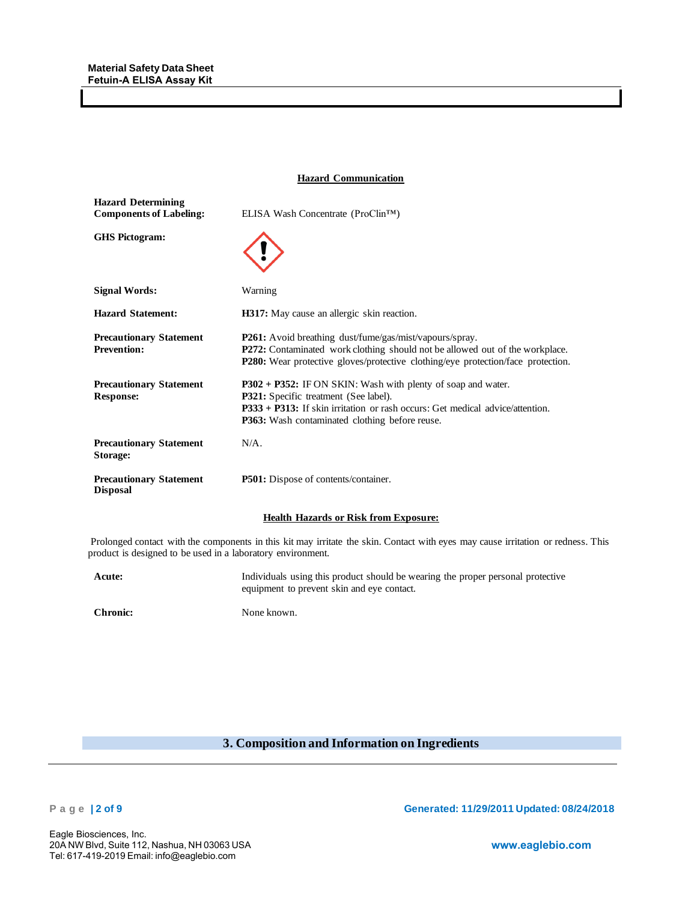#### **Hazard Communication**

| <b>Hazard Determining</b><br><b>Components of Labeling:</b> | ELISA Wash Concentrate (ProClin™)                                                                                                                                                                                                                         |
|-------------------------------------------------------------|-----------------------------------------------------------------------------------------------------------------------------------------------------------------------------------------------------------------------------------------------------------|
| <b>GHS</b> Pictogram:                                       |                                                                                                                                                                                                                                                           |
| <b>Signal Words:</b>                                        | Warning                                                                                                                                                                                                                                                   |
| <b>Hazard Statement:</b>                                    | <b>H317:</b> May cause an allergic skin reaction.                                                                                                                                                                                                         |
| <b>Precautionary Statement</b><br><b>Prevention:</b>        | <b>P261:</b> Avoid breathing dust/fume/gas/mist/vapours/spray.<br>P272: Contaminated work clothing should not be allowed out of the workplace.<br><b>P280:</b> Wear protective gloves/protective clothing/eye protection/face protection.                 |
| <b>Precautionary Statement</b><br><b>Response:</b>          | P302 + P352: IF ON SKIN: Wash with plenty of soap and water.<br><b>P321:</b> Specific treatment (See label).<br>$P333 + P313$ : If skin irritation or rash occurs: Get medical advice/attention.<br><b>P363:</b> Wash contaminated clothing before reuse. |
| <b>Precautionary Statement</b><br>Storage:                  | $N/A$ .                                                                                                                                                                                                                                                   |
| <b>Precautionary Statement</b><br>Disposal                  | P501: Dispose of contents/container.                                                                                                                                                                                                                      |

#### **Health Hazards or Risk from Exposure:**

Prolonged contact with the components in this kit may irritate the skin. Contact with eyes may cause irritation or redness. This product is designed to be used in a laboratory environment.

**Acute:** Individuals using this product should be wearing the proper personal protective equipment to prevent skin and eye contact.

**Chronic:** None known.

# **3. Composition and Information on Ingredients**

**P a g e | 2 of 9 Generated: 11/29/2011 Updated: 08/24/2018**

Eagle Biosciences, Inc. 20A NW Blvd, Suite 112, Nashua, NH 03063 USA Tel: 617-419-2019 Email: info@eaglebio.com

**www.eaglebio.com**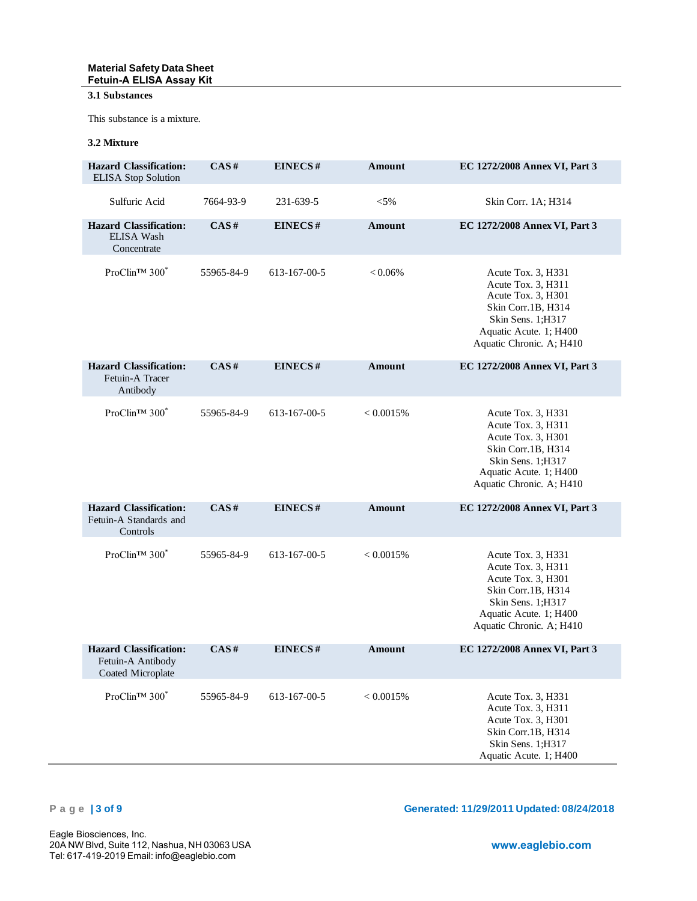### **Material Safety Data Sheet Fetuin-A ELISA Assay Kit**

# **3.1 Substances**

This substance is a mixture.

# **3.2 Mixture**

| <b>Hazard Classification:</b><br><b>ELISA</b> Stop Solution             | CAS#       | EINECS#      | Amount        | EC 1272/2008 Annex VI, Part 3                                                                                                                                   |
|-------------------------------------------------------------------------|------------|--------------|---------------|-----------------------------------------------------------------------------------------------------------------------------------------------------------------|
| Sulfuric Acid                                                           | 7664-93-9  | 231-639-5    | $< 5\%$       | Skin Corr. 1A; H314                                                                                                                                             |
| <b>Hazard Classification:</b><br>ELISA Wash<br>Concentrate              | CAS#       | EINECS#      | Amount        | EC 1272/2008 Annex VI, Part 3                                                                                                                                   |
| ProClin™ 300 <sup>*</sup>                                               | 55965-84-9 | 613-167-00-5 | $<0.06\%$     | Acute Tox. 3, H331<br>Acute Tox. 3, H311<br>Acute Tox. 3, H301<br>Skin Corr.1B, H314<br>Skin Sens. 1;H317<br>Aquatic Acute. 1; H400<br>Aquatic Chronic. A; H410 |
| <b>Hazard Classification:</b><br>Fetuin-A Tracer<br>Antibody            | CAS#       | EINECS#      | <b>Amount</b> | EC 1272/2008 Annex VI, Part 3                                                                                                                                   |
| ProClin <sup>TM</sup> 300 <sup>*</sup>                                  | 55965-84-9 | 613-167-00-5 | < 0.0015%     | Acute Tox. 3, H331<br>Acute Tox. 3, H311<br>Acute Tox. 3, H301<br>Skin Corr.1B, H314<br>Skin Sens. 1:H317<br>Aquatic Acute. 1; H400<br>Aquatic Chronic. A; H410 |
| <b>Hazard Classification:</b><br>Fetuin-A Standards and<br>Controls     | CAS#       | EINECS#      | <b>Amount</b> | EC 1272/2008 Annex VI, Part 3                                                                                                                                   |
| ProClin <sup>TM</sup> 300 <sup>*</sup>                                  | 55965-84-9 | 613-167-00-5 | < 0.0015%     | Acute Tox. 3, H331<br>Acute Tox. 3, H311<br>Acute Tox. 3, H301<br>Skin Corr.1B, H314<br>Skin Sens. 1;H317<br>Aquatic Acute. 1; H400<br>Aquatic Chronic. A; H410 |
| <b>Hazard Classification:</b><br>Fetuin-A Antibody<br>Coated Microplate | CAS#       | EINECS#      | Amount        | EC 1272/2008 Annex VI, Part 3                                                                                                                                   |
| ProClin™ 300 <sup>*</sup>                                               | 55965-84-9 | 613-167-00-5 | < 0.0015%     | Acute Tox. 3, H331<br>Acute Tox. 3, H311<br>Acute Tox. 3, H301<br>Skin Corr.1B, H314<br>Skin Sens. 1;H317<br>Aquatic Acute. 1; H400                             |

**P a g e | 3 of 9 Generated: 11/29/2011 Updated: 08/24/2018**

Eagle Biosciences, Inc. 20A NW Blvd, Suite 112, Nashua, NH 03063 USA Tel: 617-419-2019 Email: info@eaglebio.com

**www.eaglebio.com**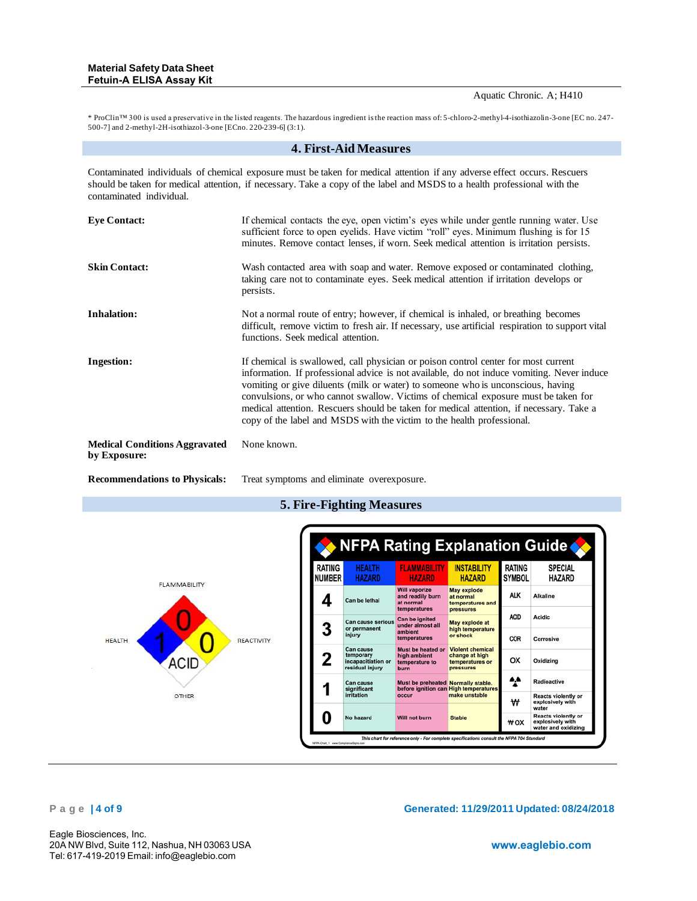Aquatic Chronic. A; H410

\* ProClin™ 300 is used a preservative in the listed reagents. The hazardous ingredient is the reaction mass of: 5-chloro-2-methyl-4-isothiazolin-3-one [EC no. 247- 500-7] and 2-methyl-2H-isothiazol-3-one [ECno. 220-239-6] (3:1).

#### **4. First-Aid Measures**

Contaminated individuals of chemical exposure must be taken for medical attention if any adverse effect occurs. Rescuers should be taken for medical attention, if necessary. Take a copy of the label and MSDS to a health professional with the contaminated individual.

| <b>Eye Contact:</b>                                  | If chemical contacts the eye, open victim's eyes while under gentle running water. Use<br>sufficient force to open eyelids. Have victim "roll" eyes. Minimum flushing is for 15<br>minutes. Remove contact lenses, if worn. Seek medical attention is irritation persists.                                                                                                                                                                                                                                                     |
|------------------------------------------------------|--------------------------------------------------------------------------------------------------------------------------------------------------------------------------------------------------------------------------------------------------------------------------------------------------------------------------------------------------------------------------------------------------------------------------------------------------------------------------------------------------------------------------------|
| <b>Skin Contact:</b>                                 | Wash contacted area with soap and water. Remove exposed or contaminated clothing,<br>taking care not to contaminate eyes. Seek medical attention if irritation develops or<br>persists.                                                                                                                                                                                                                                                                                                                                        |
| <b>Inhalation:</b>                                   | Not a normal route of entry; however, if chemical is inhaled, or breathing becomes<br>difficult, remove victim to fresh air. If necessary, use artificial respiration to support vital<br>functions. Seek medical attention.                                                                                                                                                                                                                                                                                                   |
| <b>Ingestion:</b>                                    | If chemical is swallowed, call physician or poison control center for most current<br>information. If professional advice is not available, do not induce vomiting. Never induce<br>vomiting or give diluents (milk or water) to someone who is unconscious, having<br>convulsions, or who cannot swallow. Victims of chemical exposure must be taken for<br>medical attention. Rescuers should be taken for medical attention, if necessary. Take a<br>copy of the label and MSDS with the victim to the health professional. |
| <b>Medical Conditions Aggravated</b><br>by Exposure: | None known.                                                                                                                                                                                                                                                                                                                                                                                                                                                                                                                    |



# **5. Fire-Fighting Measures**

**Recommendations to Physicals:** Treat symptoms and eliminate overexposure.

# **P a g e | 4 of 9 Generated: 11/29/2011 Updated: 08/24/2018**

Eagle Biosciences, Inc. 20A NW Blvd, Suite 112, Nashua, NH 03063 USA Tel: 617-419-2019 Email: info@eaglebio.com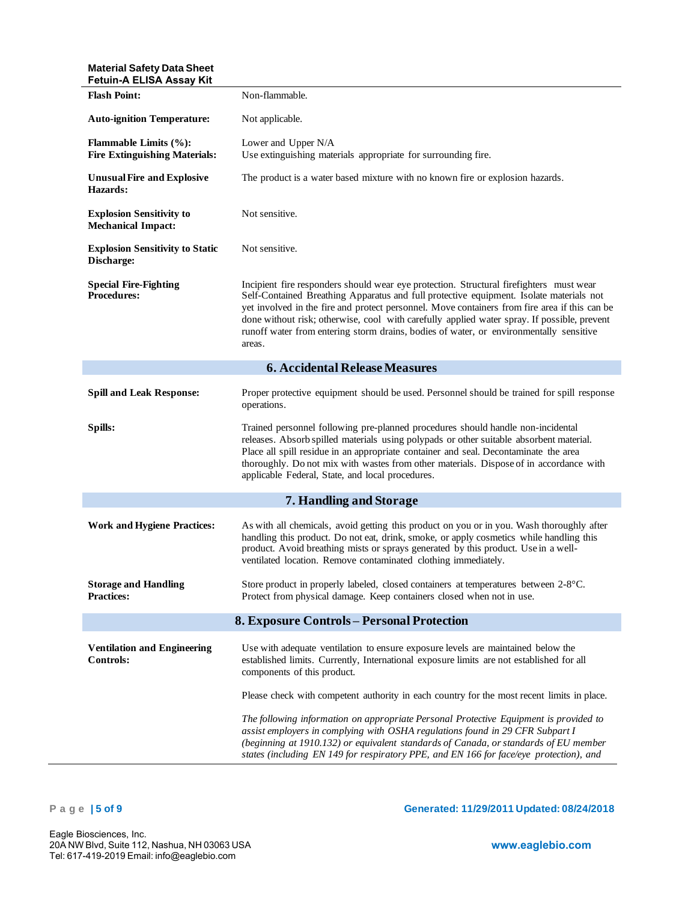# **Material Safety Data Sheet**

| <b>Fetuin-A ELISA Assay Kit</b>                                      |                                                                                                                                                                                                                                                                                                                                                                                                                                                                                        |  |
|----------------------------------------------------------------------|----------------------------------------------------------------------------------------------------------------------------------------------------------------------------------------------------------------------------------------------------------------------------------------------------------------------------------------------------------------------------------------------------------------------------------------------------------------------------------------|--|
| <b>Flash Point:</b>                                                  | Non-flammable.                                                                                                                                                                                                                                                                                                                                                                                                                                                                         |  |
| <b>Auto-ignition Temperature:</b>                                    | Not applicable.                                                                                                                                                                                                                                                                                                                                                                                                                                                                        |  |
| <b>Flammable Limits (%):</b><br><b>Fire Extinguishing Materials:</b> | Lower and Upper N/A<br>Use extinguishing materials appropriate for surrounding fire.                                                                                                                                                                                                                                                                                                                                                                                                   |  |
| <b>Unusual Fire and Explosive</b><br>Hazards:                        | The product is a water based mixture with no known fire or explosion hazards.                                                                                                                                                                                                                                                                                                                                                                                                          |  |
| <b>Explosion Sensitivity to</b><br><b>Mechanical Impact:</b>         | Not sensitive.                                                                                                                                                                                                                                                                                                                                                                                                                                                                         |  |
| <b>Explosion Sensitivity to Static</b><br>Discharge:                 | Not sensitive.                                                                                                                                                                                                                                                                                                                                                                                                                                                                         |  |
| <b>Special Fire-Fighting</b><br><b>Procedures:</b>                   | Incipient fire responders should wear eye protection. Structural firefighters must wear<br>Self-Contained Breathing Apparatus and full protective equipment. Isolate materials not<br>yet involved in the fire and protect personnel. Move containers from fire area if this can be<br>done without risk; otherwise, cool with carefully applied water spray. If possible, prevent<br>runoff water from entering storm drains, bodies of water, or environmentally sensitive<br>areas. |  |
|                                                                      | <b>6. Accidental Release Measures</b>                                                                                                                                                                                                                                                                                                                                                                                                                                                  |  |
| <b>Spill and Leak Response:</b>                                      | Proper protective equipment should be used. Personnel should be trained for spill response<br>operations.                                                                                                                                                                                                                                                                                                                                                                              |  |
| Spills:                                                              | Trained personnel following pre-planned procedures should handle non-incidental<br>releases. Absorb spilled materials using polypads or other suitable absorbent material.<br>Place all spill residue in an appropriate container and seal. Decontaminate the area<br>thoroughly. Do not mix with wastes from other materials. Dispose of in accordance with<br>applicable Federal, State, and local procedures.                                                                       |  |
|                                                                      | 7. Handling and Storage                                                                                                                                                                                                                                                                                                                                                                                                                                                                |  |
| <b>Work and Hygiene Practices:</b>                                   | As with all chemicals, avoid getting this product on you or in you. Wash thoroughly after<br>handling this product. Do not eat, drink, smoke, or apply cosmetics while handling this<br>product. Avoid breathing mists or sprays generated by this product. Use in a well-<br>ventilated location. Remove contaminated clothing immediately.                                                                                                                                           |  |
| <b>Storage and Handling</b><br><b>Practices:</b>                     | Store product in properly labeled, closed containers at temperatures between 2-8°C.<br>Protect from physical damage. Keep containers closed when not in use.                                                                                                                                                                                                                                                                                                                           |  |
| 8. Exposure Controls - Personal Protection                           |                                                                                                                                                                                                                                                                                                                                                                                                                                                                                        |  |
| <b>Ventilation and Engineering</b><br>Controls:                      | Use with adequate ventilation to ensure exposure levels are maintained below the<br>established limits. Currently, International exposure limits are not established for all<br>components of this product.                                                                                                                                                                                                                                                                            |  |
|                                                                      | Please check with competent authority in each country for the most recent limits in place.                                                                                                                                                                                                                                                                                                                                                                                             |  |
|                                                                      | The following information on appropriate Personal Protective Equipment is provided to<br>assist employers in complying with OSHA regulations found in 29 CFR Subpart I<br>(beginning at 1910.132) or equivalent standards of Canada, or standards of EU member<br>states (including EN 149 for respiratory PPE, and EN 166 for face/eye protection), and                                                                                                                               |  |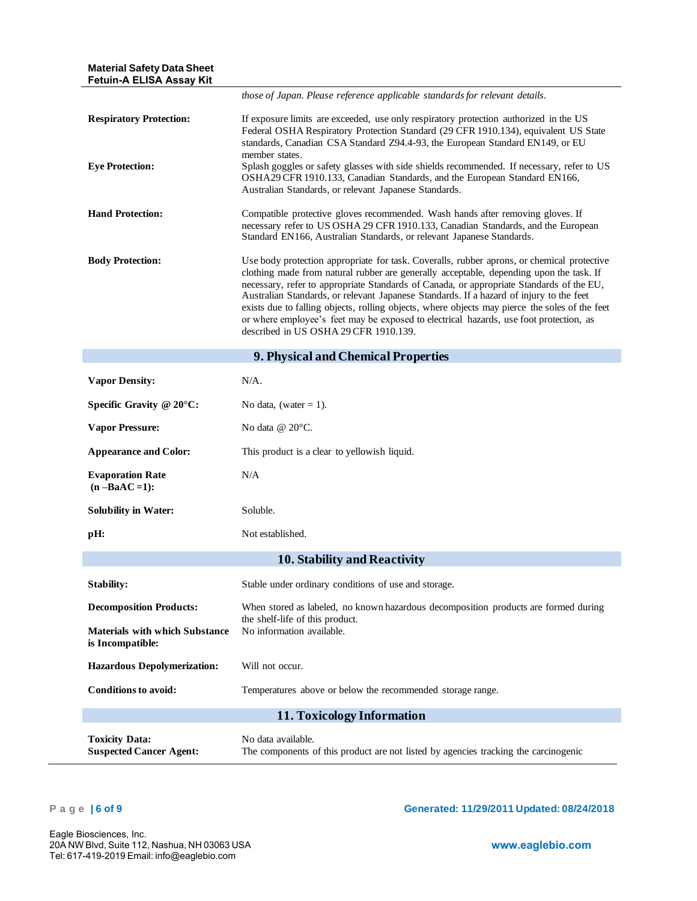| <b>Material Safety Data Sheet</b><br><b>Fetuin-A ELISA Assay Kit</b> |                                                                                                                                                                                                                                                                                                                                                                                                                                                                                                                                                                                                                   |
|----------------------------------------------------------------------|-------------------------------------------------------------------------------------------------------------------------------------------------------------------------------------------------------------------------------------------------------------------------------------------------------------------------------------------------------------------------------------------------------------------------------------------------------------------------------------------------------------------------------------------------------------------------------------------------------------------|
|                                                                      | those of Japan. Please reference applicable standards for relevant details.                                                                                                                                                                                                                                                                                                                                                                                                                                                                                                                                       |
| <b>Respiratory Protection:</b>                                       | If exposure limits are exceeded, use only respiratory protection authorized in the US<br>Federal OSHA Respiratory Protection Standard (29 CFR 1910.134), equivalent US State<br>standards, Canadian CSA Standard Z94.4-93, the European Standard EN149, or EU<br>member states.                                                                                                                                                                                                                                                                                                                                   |
| <b>Eye Protection:</b>                                               | Splash goggles or safety glasses with side shields recommended. If necessary, refer to US<br>OSHA29 CFR 1910.133, Canadian Standards, and the European Standard EN166,<br>Australian Standards, or relevant Japanese Standards.                                                                                                                                                                                                                                                                                                                                                                                   |
| <b>Hand Protection:</b>                                              | Compatible protective gloves recommended. Wash hands after removing gloves. If<br>necessary refer to US OSHA 29 CFR 1910.133, Canadian Standards, and the European<br>Standard EN166, Australian Standards, or relevant Japanese Standards.                                                                                                                                                                                                                                                                                                                                                                       |
| <b>Body Protection:</b>                                              | Use body protection appropriate for task. Coveralls, rubber aprons, or chemical protective<br>clothing made from natural rubber are generally acceptable, depending upon the task. If<br>necessary, refer to appropriate Standards of Canada, or appropriate Standards of the EU,<br>Australian Standards, or relevant Japanese Standards. If a hazard of injury to the feet<br>exists due to falling objects, rolling objects, where objects may pierce the soles of the feet<br>or where employee's feet may be exposed to electrical hazards, use foot protection, as<br>described in US OSHA 29 CFR 1910.139. |
|                                                                      | 9. Physical and Chemical Properties                                                                                                                                                                                                                                                                                                                                                                                                                                                                                                                                                                               |
| <b>Vapor Density:</b>                                                | N/A.                                                                                                                                                                                                                                                                                                                                                                                                                                                                                                                                                                                                              |
| Specific Gravity $@ 20°C$ :                                          | No data, (water $= 1$ ).                                                                                                                                                                                                                                                                                                                                                                                                                                                                                                                                                                                          |
| <b>Vapor Pressure:</b>                                               | No data $@$ 20 $°C$ .                                                                                                                                                                                                                                                                                                                                                                                                                                                                                                                                                                                             |
| <b>Appearance and Color:</b>                                         | This product is a clear to yellowish liquid.                                                                                                                                                                                                                                                                                                                                                                                                                                                                                                                                                                      |
| <b>Evaporation Rate</b><br>$(n - BaAC = 1)$ :                        | N/A                                                                                                                                                                                                                                                                                                                                                                                                                                                                                                                                                                                                               |
| <b>Solubility in Water:</b>                                          | Soluble.                                                                                                                                                                                                                                                                                                                                                                                                                                                                                                                                                                                                          |
| pH:                                                                  | Not established.                                                                                                                                                                                                                                                                                                                                                                                                                                                                                                                                                                                                  |
|                                                                      | <b>10. Stability and Reactivity</b>                                                                                                                                                                                                                                                                                                                                                                                                                                                                                                                                                                               |
| Stability:                                                           | Stable under ordinary conditions of use and storage.                                                                                                                                                                                                                                                                                                                                                                                                                                                                                                                                                              |
| <b>Decomposition Products:</b>                                       | When stored as labeled, no known hazardous decomposition products are formed during                                                                                                                                                                                                                                                                                                                                                                                                                                                                                                                               |
| <b>Materials with which Substance</b><br>is Incompatible:            | the shelf-life of this product.<br>No information available.                                                                                                                                                                                                                                                                                                                                                                                                                                                                                                                                                      |
| <b>Hazardous Depolymerization:</b>                                   | Will not occur.                                                                                                                                                                                                                                                                                                                                                                                                                                                                                                                                                                                                   |
| <b>Conditions to avoid:</b>                                          | Temperatures above or below the recommended storage range.                                                                                                                                                                                                                                                                                                                                                                                                                                                                                                                                                        |
|                                                                      | 11. Toxicology Information                                                                                                                                                                                                                                                                                                                                                                                                                                                                                                                                                                                        |
| <b>Toxicity Data:</b><br><b>Suspected Cancer Agent:</b>              | No data available.<br>The components of this product are not listed by agencies tracking the carcinogenic                                                                                                                                                                                                                                                                                                                                                                                                                                                                                                         |

**P a g e | 6 of 9 Generated: 11/29/2011 Updated: 08/24/2018**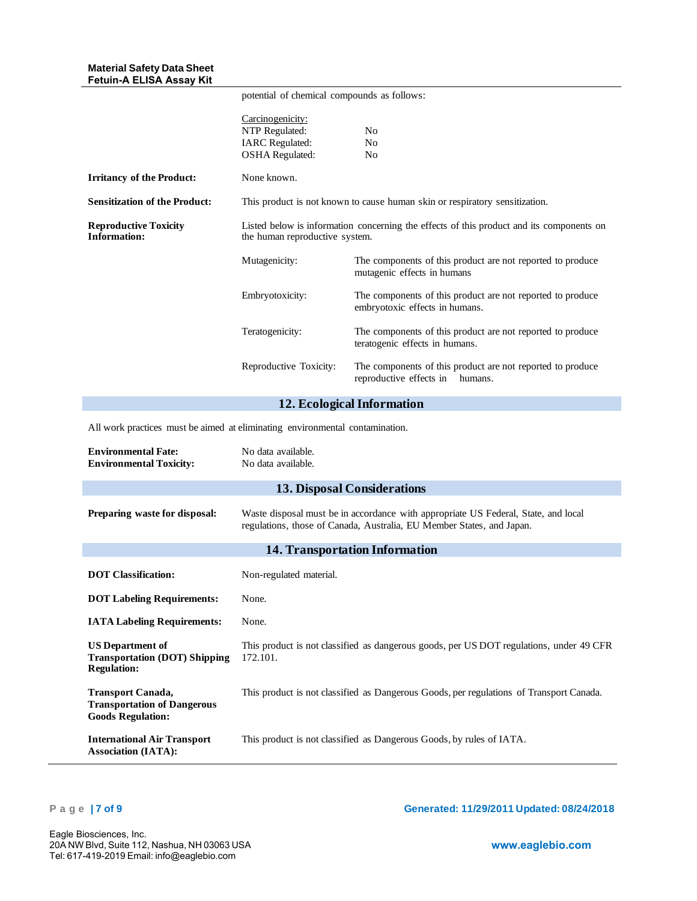|                                                                                            | potential of chemical compounds as follows:                                                                                |                                                                                                                                                             |
|--------------------------------------------------------------------------------------------|----------------------------------------------------------------------------------------------------------------------------|-------------------------------------------------------------------------------------------------------------------------------------------------------------|
|                                                                                            | Carcinogenicity:<br>NTP Regulated:<br><b>IARC</b> Regulated:<br><b>OSHA</b> Regulated:                                     | No<br>No<br>No                                                                                                                                              |
| <b>Irritancy of the Product:</b>                                                           | None known.                                                                                                                |                                                                                                                                                             |
| <b>Sensitization of the Product:</b>                                                       |                                                                                                                            | This product is not known to cause human skin or respiratory sensitization.                                                                                 |
| <b>Reproductive Toxicity</b><br><b>Information:</b>                                        | Listed below is information concerning the effects of this product and its components on<br>the human reproductive system. |                                                                                                                                                             |
|                                                                                            | Mutagenicity:                                                                                                              | The components of this product are not reported to produce<br>mutagenic effects in humans                                                                   |
|                                                                                            | Embryotoxicity:                                                                                                            | The components of this product are not reported to produce<br>embryotoxic effects in humans.                                                                |
|                                                                                            | Teratogenicity:                                                                                                            | The components of this product are not reported to produce<br>teratogenic effects in humans.                                                                |
|                                                                                            | Reproductive Toxicity:                                                                                                     | The components of this product are not reported to produce<br>reproductive effects in<br>humans.                                                            |
|                                                                                            |                                                                                                                            | 12. Ecological Information                                                                                                                                  |
| All work practices must be aimed at eliminating environmental contamination.               |                                                                                                                            |                                                                                                                                                             |
| <b>Environmental Fate:</b><br><b>Environmental Toxicity:</b>                               | No data available.<br>No data available.                                                                                   |                                                                                                                                                             |
|                                                                                            |                                                                                                                            | <b>13. Disposal Considerations</b>                                                                                                                          |
| Preparing waste for disposal:                                                              |                                                                                                                            | Waste disposal must be in accordance with appropriate US Federal, State, and local<br>regulations, those of Canada, Australia, EU Member States, and Japan. |
|                                                                                            |                                                                                                                            | 14. Transportation Information                                                                                                                              |
| <b>DOT Classification:</b>                                                                 | Non-regulated material.                                                                                                    |                                                                                                                                                             |
| <b>DOT Labeling Requirements:</b>                                                          | None.                                                                                                                      |                                                                                                                                                             |
| <b>IATA Labeling Requirements:</b>                                                         | None.                                                                                                                      |                                                                                                                                                             |
| <b>US Department of</b><br><b>Transportation (DOT) Shipping</b><br><b>Regulation:</b>      | 172.101.                                                                                                                   | This product is not classified as dangerous goods, per US DOT regulations, under 49 CFR                                                                     |
| <b>Transport Canada,</b><br><b>Transportation of Dangerous</b><br><b>Goods Regulation:</b> |                                                                                                                            | This product is not classified as Dangerous Goods, per regulations of Transport Canada.                                                                     |
| <b>International Air Transport</b><br><b>Association (IATA):</b>                           |                                                                                                                            | This product is not classified as Dangerous Goods, by rules of IATA.                                                                                        |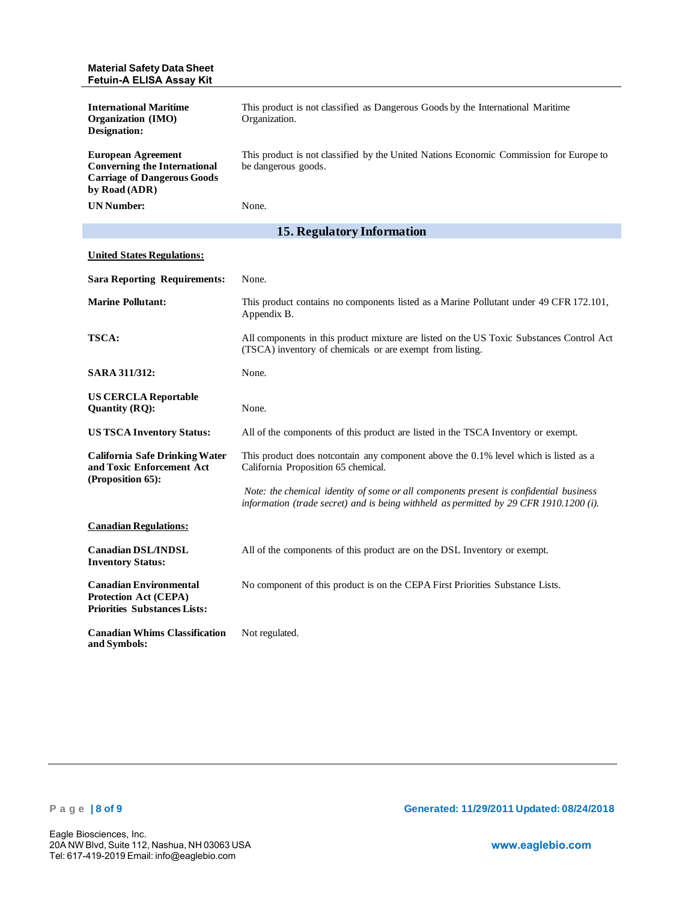| <b>Material Safety Data Sheet</b><br>Fetuin-A ELISA Assay Kit                                                           |                                                                                                                                                                                  |
|-------------------------------------------------------------------------------------------------------------------------|----------------------------------------------------------------------------------------------------------------------------------------------------------------------------------|
| <b>International Maritime</b><br><b>Organization</b> (IMO)<br>Designation:                                              | This product is not classified as Dangerous Goods by the International Maritime<br>Organization.                                                                                 |
| <b>European Agreement</b><br><b>Converning the International</b><br><b>Carriage of Dangerous Goods</b><br>by Road (ADR) | This product is not classified by the United Nations Economic Commission for Europe to<br>be dangerous goods.                                                                    |
| <b>UN Number:</b>                                                                                                       | None.                                                                                                                                                                            |
|                                                                                                                         | <b>15. Regulatory Information</b>                                                                                                                                                |
| <b>United States Regulations:</b>                                                                                       |                                                                                                                                                                                  |
| <b>Sara Reporting Requirements:</b>                                                                                     | None.                                                                                                                                                                            |
| <b>Marine Pollutant:</b>                                                                                                | This product contains no components listed as a Marine Pollutant under 49 CFR 172.101,<br>Appendix B.                                                                            |
| <b>TSCA:</b>                                                                                                            | All components in this product mixture are listed on the US Toxic Substances Control Act<br>(TSCA) inventory of chemicals or are exempt from listing.                            |
| <b>SARA 311/312:</b>                                                                                                    | None.                                                                                                                                                                            |
| <b>US CERCLA Reportable</b><br>Quantity (RQ):                                                                           | None.                                                                                                                                                                            |
| <b>US TSCA Inventory Status:</b>                                                                                        | All of the components of this product are listed in the TSCA Inventory or exempt.                                                                                                |
| <b>California Safe Drinking Water</b><br>and Toxic Enforcement Act<br>(Proposition 65):                                 | This product does notcontain any component above the 0.1% level which is listed as a<br>California Proposition 65 chemical.                                                      |
|                                                                                                                         | Note: the chemical identity of some or all components present is confidential business<br>information (trade secret) and is being withheld as permitted by 29 CFR 1910.1200 (i). |
| <b>Canadian Regulations:</b>                                                                                            |                                                                                                                                                                                  |
| <b>Canadian DSL/INDSL</b>                                                                                               | All of the components of this product are on the DSL Inventory or exempt.                                                                                                        |
| <b>Inventory Status:</b>                                                                                                |                                                                                                                                                                                  |
| <b>Canadian Environmental</b><br><b>Protection Act (CEPA)</b><br><b>Priorities Substances Lists:</b>                    | No component of this product is on the CEPA First Priorities Substance Lists.                                                                                                    |